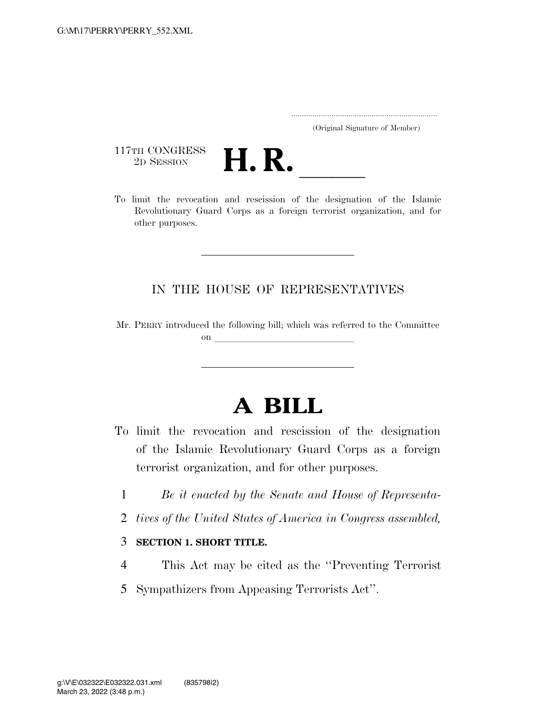| (Original Signature of Member) |  |
|--------------------------------|--|

117TH CONGRESS<br>2D SESSION



117TH CONGRESS<br>
2D SESSION<br>
To limit the revocation and rescission of the designation of the Islamic Revolutionary Guard Corps as a foreign terrorist organization, and for other purposes.

## IN THE HOUSE OF REPRESENTATIVES

Mr. PERRY introduced the following bill; which was referred to the Committee on  $\overline{\qquad \qquad }$ 

## **A BILL**

- To limit the revocation and rescission of the designation of the Islamic Revolutionary Guard Corps as a foreign terrorist organization, and for other purposes.
	- 1 *Be it enacted by the Senate and House of Representa-*
	- 2 *tives of the United States of America in Congress assembled,*

## 3 **SECTION 1. SHORT TITLE.**

- 4 This Act may be cited as the ''Preventing Terrorist
- 5 Sympathizers from Appeasing Terrorists Act''.